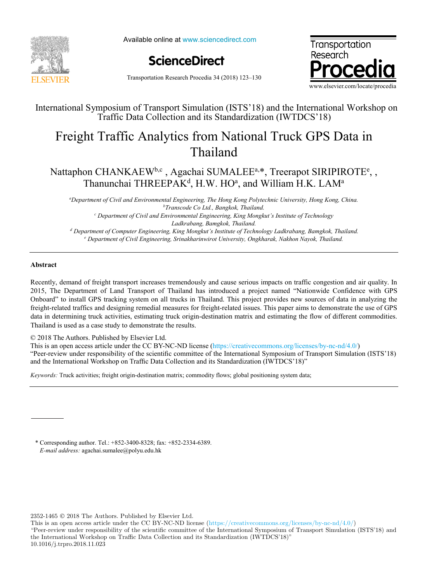

Available online at www.sciencedirect.com





Transportation Research Procedia 34 (2018) 123–130

# International Symposium of Transport Simulation (ISTS'18) and the International Workshop on Traffic Data Collection and its Standardization (IWTDCS'18)

# Freight Traffic Analytics from National Truck GPS Data in Thailand  $F:1/T$   $\mathcal{C}$   $\rightarrow$   $1/T$   $\mathcal{C}$   $\rightarrow$   $1/T$   $\rightarrow$   $1/T$ Thom in a nattaphon Chankaewa<br>Agachai Sumalee (1980), Agachai Sumalee (1980), Agachai Sumalee (1980), Agachai Sumalee (1980), Agachai Sumale

Nattaphon CHANKAEW<sup>b,c</sup>, Agachai SUMALEE<sup>a,\*</sup>, Treerapot SIRIPIROTE<sup>e</sup>, , Thanunchai THREEPAK<sup>d</sup>, H.W. HO<sup>a</sup>, and William H.K. LAM<sup>a</sup> on CHANKAEW<sup>b,c</sup> , Agachai SUMALEEª.\*, Treerapot SIRIPIF

*a Department of Civil and Environmental Engineering, The Hong Kong Polytechnic University, Hong Kong, China. b Transcode Co Ltd., Bangkok, Thailand. b Transcode Co Ltd., Bangkok, Thailand. <sup>c</sup> Department of Civil and Environmental Engineering, King Mongkut's Institute of Technology <sup>c</sup> Department of Civil and Environmental Engineering, King Mongkut's Institute of Technology Ladkrabang, Bamgkok, Thailand.*

*Ladkrabang, Bamgkok, Thailand. <sup>d</sup> Department of Computer Engineering, King Mongkut's Institute of Technology Ladkrabang, Bamgkok, Thailand.*

d Department of Computer Engineering, King Mongkut's Institute of Technology Ladkrabang, Bamgkok, Thailand. *<sup>e</sup> Department of Civil Engineering, Srinakharinwirot University, Ongkharak, Nakhon Nayok, Thailand.*

## **Abstract Abstract**

Recently, demand of freight transport increases tremendously and cause serious impacts on traffic congestion and air quality. In 2015, The Department of Land Transport of Thailand has introduced a project named "Nationwide Confidence with GPS Onboard" to install GPS tracking system on all trucks in Thailand. This project provides new sources of data in analyzing the freight-related traffics and designing remedial measures for freight-related issues. This paper aims to demonstrate the use of GPS data in determining truck activities, estimating truck origin-destination matrix and estimating the flow of different commodities. Thailand is used as a case study to demonstrate the results.

© 2018 The Authors. Published by Elsevier Ltd. © 2018 The Authors. Published by Elsevier Ltd.

C 2016 The Authors. Fubrished by Eisevier Eta.<br>This is an open access article under the CC BY-NC-ND license (https://creativecommons.org/licenses/by-nc-nd/4.0/) "Peer-review under responsibility of the scientific committee of the International Symposium of Transport Simulation (ISTS'18) and the International Workshop on Traffic Data Collection and its Standardization (IWTDCS'18)"

*Keywords:* Truck activities; freight origin-destination matrix; commodity flows; global positioning system data; *Keywords:* Truck activities; freight origin-destination matrix; commodity flows; global positioning system data;

*E-mail address:* agachai.sumalee@polyu.edu.hk \* Corresponding author. Tel.: +852-3400-8328; fax: +852-2334-6389.

2352-1465 2018 The Authors. Published by Elsevier Ltd.

This is an open access article under the CC BY-NC-ND license (https://creativecommons.org/licenses/by-nc-nd/4.0/)

<sup>&</sup>quot;Peer-review under responsibility of the scientific committee of the International Symposium of Transport Simulation (ISTS'18) and the International Workshop on Traffic Data Collection and its Standardization (IWTDCS'18)" 10.1016/j.trpro.2018.11.023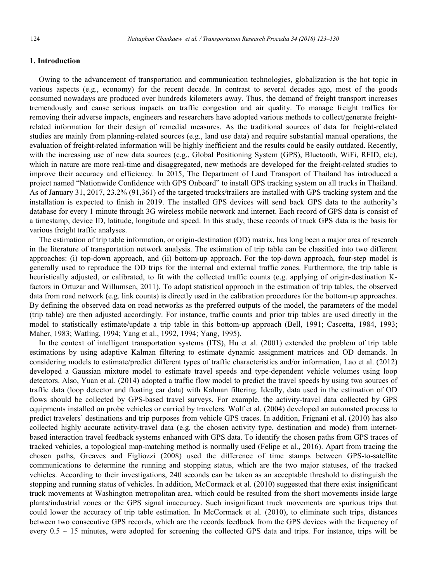### **1. Introduction**

Owing to the advancement of transportation and communication technologies, globalization is the hot topic in various aspects (e.g., economy) for the recent decade. In contrast to several decades ago, most of the goods consumed nowadays are produced over hundreds kilometers away. Thus, the demand of freight transport increases tremendously and cause serious impacts on traffic congestion and air quality. To manage freight traffics for removing their adverse impacts, engineers and researchers have adopted various methods to collect/generate freightrelated information for their design of remedial measures. As the traditional sources of data for freight-related studies are mainly from planning-related sources (e.g., land use data) and require substantial manual operations, the evaluation of freight-related information will be highly inefficient and the results could be easily outdated. Recently, with the increasing use of new data sources (e.g., Global Positioning System (GPS), Bluetooth, WiFi, RFID, etc), which in nature are more real-time and disaggregated, new methods are developed for the freight-related studies to improve their accuracy and efficiency. In 2015, The Department of Land Transport of Thailand has introduced a project named "Nationwide Confidence with GPS Onboard" to install GPS tracking system on all trucks in Thailand. As of January 31, 2017, 23.2% (91,361) of the targeted trucks/trailers are installed with GPS tracking system and the installation is expected to finish in 2019. The installed GPS devices will send back GPS data to the authority's database for every 1 minute through 3G wireless mobile network and internet. Each record of GPS data is consist of a timestamp, device ID, latitude, longitude and speed. In this study, these records of truck GPS data is the basis for various freight traffic analyses.

The estimation of trip table information, or origin-destination (OD) matrix, has long been a major area of research in the literature of transportation network analysis. The estimation of trip table can be classified into two different approaches: (i) top-down approach, and (ii) bottom-up approach. For the top-down approach, four-step model is generally used to reproduce the OD trips for the internal and external traffic zones. Furthermore, the trip table is heuristically adjusted, or calibrated, to fit with the collected traffic counts (e.g. applying of origin-destination Kfactors in Ortuzar and Willumsen, 2011). To adopt statistical approach in the estimation of trip tables, the observed data from road network (e.g. link counts) is directly used in the calibration procedures for the bottom-up approaches. By defining the observed data on road networks as the preferred outputs of the model, the parameters of the model (trip table) are then adjusted accordingly. For instance, traffic counts and prior trip tables are used directly in the model to statistically estimate/update a trip table in this bottom-up approach (Bell, 1991; Cascetta, 1984, 1993; Maher, 1983; Watling, 1994; Yang et al., 1992, 1994; Yang, 1995).

In the context of intelligent transportation systems (ITS), Hu et al. (2001) extended the problem of trip table estimations by using adaptive Kalman filtering to estimate dynamic assignment matrices and OD demands. In considering models to estimate/predict different types of traffic characteristics and/or information, Lao et al. (2012) developed a Gaussian mixture model to estimate travel speeds and type-dependent vehicle volumes using loop detectors. Also, Yuan et al. (2014) adopted a traffic flow model to predict the travel speeds by using two sources of traffic data (loop detector and floating car data) with Kalman filtering. Ideally, data used in the estimation of OD flows should be collected by GPS-based travel surveys. For example, the activity-travel data collected by GPS equipments installed on probe vehicles or carried by travelers. Wolf et al. (2004) developed an automated process to predict travelers' destinations and trip purposes from vehicle GPS traces. In addition, Frignani et al. (2010) has also collected highly accurate activity-travel data (e.g. the chosen activity type, destination and mode) from internetbased interaction travel feedback systems enhanced with GPS data. To identify the chosen paths from GPS traces of tracked vehicles, a topological map-matching method is normally used (Felipe et al., 2016). Apart from tracing the chosen paths, Greaves and Figliozzi (2008) used the difference of time stamps between GPS-to-satellite communications to determine the running and stopping status, which are the two major statuses, of the tracked vehicles. According to their investigations, 240 seconds can be taken as an acceptable threshold to distinguish the stopping and running status of vehicles. In addition, McCormack et al. (2010) suggested that there exist insignificant truck movements at Washington metropolitan area, which could be resulted from the short movements inside large plants/industrial zones or the GPS signal inaccuracy. Such insignificant truck movements are spurious trips that could lower the accuracy of trip table estimation. In McCormack et al. (2010), to eliminate such trips, distances between two consecutive GPS records, which are the records feedback from the GPS devices with the frequency of every  $0.5 \sim 15$  minutes, were adopted for screening the collected GPS data and trips. For instance, trips will be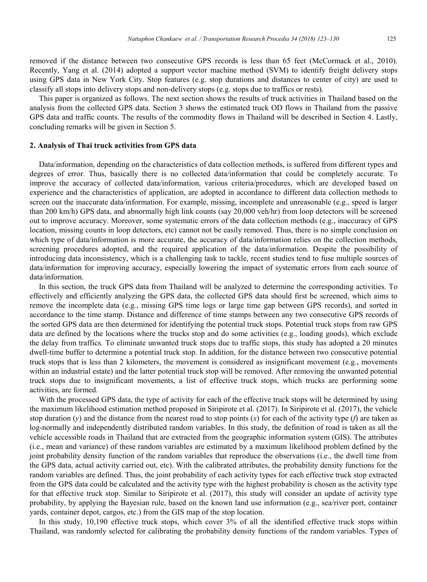removed if the distance between two consecutive GPS records is less than 65 feet (McCormack et al., 2010). Recently, Yang et al. (2014) adopted a support vector machine method (SVM) to identify freight delivery stops using GPS data in New York City. Stop features (e.g. stop durations and distances to center of city) are used to classify all stops into delivery stops and non-delivery stops (e.g. stops due to traffics or rests).

This paper is organized as follows. The next section shows the results of truck activities in Thailand based on the analysis from the collected GPS data. Section 3 shows the estimated truck OD flows in Thailand from the passive GPS data and traffic counts. The results of the commodity flows in Thailand will be described in Section 4. Lastly, concluding remarks will be given in Section 5.

#### **2. Analysis of Thai truck activities from GPS data**

Data/information, depending on the characteristics of data collection methods, is suffered from different types and degrees of error. Thus, basically there is no collected data/information that could be completely accurate. To improve the accuracy of collected data/information, various criteria/procedures, which are developed based on experience and the characteristics of application, are adopted in accordance to different data collection methods to screen out the inaccurate data/information. For example, missing, incomplete and unreasonable (e.g., speed is larger than 200 km/h) GPS data, and abnormally high link counts (say 20,000 veh/hr) from loop detectors will be screened out to improve accuracy. Moreover, some systematic errors of the data collection methods (e.g., inaccuracy of GPS location, missing counts in loop detectors, etc) cannot not be easily removed. Thus, there is no simple conclusion on which type of data/information is more accurate, the accuracy of data/information relies on the collection methods, screening procedures adopted, and the required application of the data/information. Despite the possibility of introducing data inconsistency, which is a challenging task to tackle, recent studies tend to fuse multiple sources of data/information for improving accuracy, especially lowering the impact of systematic errors from each source of data/information.

In this section, the truck GPS data from Thailand will be analyzed to determine the corresponding activities. To effectively and efficiently analyzing the GPS data, the collected GPS data should first be screened, which aims to remove the incomplete data (e.g., missing GPS time logs or large time gap between GPS records), and sorted in accordance to the time stamp. Distance and difference of time stamps between any two consecutive GPS records of the sorted GPS data are then determined for identifying the potential truck stops. Potential truck stops from raw GPS data are defined by the locations where the trucks stop and do some activities (e.g., loading goods), which exclude the delay from traffics. To eliminate unwanted truck stops due to traffic stops, this study has adopted a 20 minutes dwell-time buffer to determine a potential truck stop. In addition, for the distance between two consecutive potential truck stops that is less than 2 kilometers, the movement is considered as insignificant movement (e.g., movements within an industrial estate) and the latter potential truck stop will be removed. After removing the unwanted potential truck stops due to insignificant movements, a list of effective truck stops, which trucks are performing some activities, are formed.

With the processed GPS data, the type of activity for each of the effective truck stops will be determined by using the maximum likelihood estimation method proposed in Siripirote et al. (2017). In Siripirote et al. (2017), the vehicle stop duration  $(y)$  and the distance from the nearest road to stop points  $(x)$  for each of the activity type  $(f)$  are taken as log-normally and independently distributed random variables. In this study, the definition of road is taken as all the vehicle accessible roads in Thailand that are extracted from the geographic information system (GIS). The attributes (i.e., mean and variance) of these random variables are estimated by a maximum likelihood problem defined by the joint probability density function of the random variables that reproduce the observations (i.e., the dwell time from the GPS data, actual activity carried out, etc). With the calibrated attributes, the probability density functions for the random variables are defined. Thus, the joint probability of each activity types for each effective truck stop extracted from the GPS data could be calculated and the activity type with the highest probability is chosen as the activity type for that effective truck stop. Similar to Siripirote et al. (2017), this study will consider an update of activity type probability, by applying the Bayesian rule, based on the known land use information (e.g., sea/river port, container yards, container depot, cargos, etc.) from the GIS map of the stop location.

In this study, 10,190 effective truck stops, which cover 3% of all the identified effective truck stops within Thailand, was randomly selected for calibrating the probability density functions of the random variables. Types of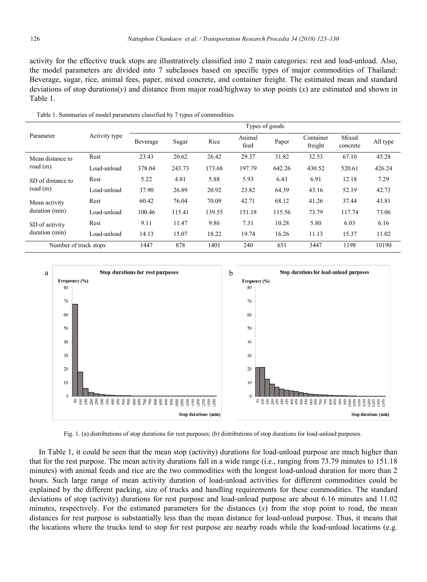All type

activity for the effective truck stops are illustratively classified into 2 main categories: rest and load-unload. Also, the model parameters are divided into 7 subclasses based on specific types of major commodities of Thailand: Beverage, sugar, rice, animal fees, paper, mixed concrete, and container freight. The estimated mean and standard deviations of stop durations( $v$ ) and distance from major road/highway to stop points (x) are estimated and shown in Table 1.

| Parameter                        | Activity type | Types of goods |        |        |                |        |                      |                   |         |
|----------------------------------|---------------|----------------|--------|--------|----------------|--------|----------------------|-------------------|---------|
|                                  |               | Beverage       | Sugar  | Rice   | Animal<br>feed | Paper  | Container<br>freight | Mixed<br>concrete | All typ |
| Mean distance to<br>road (m)     | Rest          | 23.43          | 20.62  | 26.42  | 29.37          | 31.82  | 32.53                | 67.10             | 45.28   |
|                                  | Load-unload   | 378.04         | 243.73 | 173.68 | 197.79         | 642.26 | 430.52               | 520.61            | 426.24  |
| SD of distance to<br>road (m)    | Rest          | 5.22           | 4.81   | 5.88   | 5.93           | 6.43   | 6.91                 | 12.18             | 7.29    |
|                                  | Load-unload   | 37.90          | 26.89  | 20.92  | 23.82          | 64.39  | 43.16                | 52.19             | 42.73   |
| Mean activity<br>duration (min)  | Rest          | 60.42          | 76.04  | 70.09  | 42.71          | 68.12  | 41.26                | 37.44             | 43.81   |
|                                  | Load-unload   | 100.46         | 115.41 | 139.55 | 151.18         | 115.56 | 73.79                | 117.74            | 73.06   |
| SD of activity<br>duration (min) | Rest          | 9.11           | 11.47  | 9.86   | 7.31           | 10.28  | 5.80                 | 6.03              | 6.16    |
|                                  | Load-unload   | 14.13          | 15.07  | 18.22  | 19.74          | 16.26  | 11.13                | 15.37             | 11.02   |
| Number of truck stops            |               | 1447           | 878    | 1401   | 240            | 651    | 3447                 | 1198              | 10190   |



Fig. 1. (a) distributions of stop durations for rest purposes; (b) distributions of stop durations for load-unload purposes.

In Table 1, it could be seen that the mean stop (activity) durations for load-unload purpose are much higher than that for the rest purpose. The mean activity durations fall in a wide range (i.e., ranging from 73.79 minutes to 151.18 minutes) with animal feeds and rice are the two commodities with the longest load-unload duration for more than 2 hours. Such large range of mean activity duration of load-unload activities for different commodities could be explained by the different packing, size of trucks and handling requirements for these commodities. The standard deviations of stop (activity) durations for rest purpose and load-unload purpose are about 6.16 minutes and 11.02 minutes, respectively. For the estimated parameters for the distances (*x*) from the stop point to road, the mean distances for rest purpose is substantially less than the mean distance for load-unload purpose. Thus, it means that the locations where the trucks tend to stop for rest purpose are nearby roads while the load-unload locations (e.g.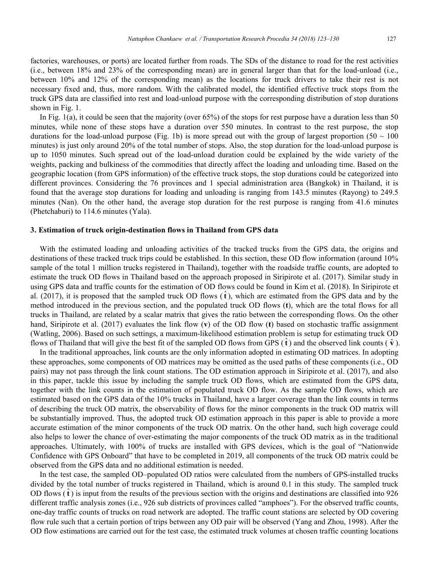factories, warehouses, or ports) are located further from roads. The SDs of the distance to road for the rest activities (i.e., between 18% and 23% of the corresponding mean) are in general larger than that for the load-unload (i.e., between 10% and 12% of the corresponding mean) as the locations for truck drivers to take their rest is not necessary fixed and, thus, more random. With the calibrated model, the identified effective truck stops from the truck GPS data are classified into rest and load-unload purpose with the corresponding distribution of stop durations shown in Fig. 1.

In Fig. 1(a), it could be seen that the majority (over 65%) of the stops for rest purpose have a duration less than 50 minutes, while none of these stops have a duration over 550 minutes. In contrast to the rest purpose, the stop durations for the load-unload purpose (Fig. 1b) is more spread out with the group of largest proportion (50  $\sim$  100 minutes) is just only around 20% of the total number of stops. Also, the stop duration for the load-unload purpose is up to 1050 minutes. Such spread out of the load-unload duration could be explained by the wide variety of the weights, packing and bulkiness of the commodities that directly affect the loading and unloading time. Based on the geographic location (from GPS information) of the effective truck stops, the stop durations could be categorized into different provinces. Considering the 76 provinces and 1 special administration area (Bangkok) in Thailand, it is found that the average stop durations for loading and unloading is ranging from 143.5 minutes (Rayong) to 249.5 minutes (Nan). On the other hand, the average stop duration for the rest purpose is ranging from 41.6 minutes (Phetchaburi) to 114.6 minutes (Yala).

#### **3. Estimation of truck origin-destination flows in Thailand from GPS data**

With the estimated loading and unloading activities of the tracked trucks from the GPS data, the origins and destinations of these tracked truck trips could be established. In this section, these OD flow information (around 10% sample of the total 1 million trucks registered in Thailand), together with the roadside traffic counts, are adopted to estimate the truck OD flows in Thailand based on the approach proposed in Siripirote et al. (2017). Similar study in using GPS data and traffic counts for the estimation of OD flows could be found in Kim et al. (2018). In Siripirote et al. (2017), it is proposed that the sampled truck OD flows  $(\hat{\bf t})$ , which are estimated from the GPS data and by the method introduced in the previous section, and the populated truck OD flows (**t**), which are the total flows for all trucks in Thailand, are related by a scalar matrix that gives the ratio between the corresponding flows. On the other hand, Siripirote et al. (2017) evaluates the link flow (**v**) of the OD flow (**t**) based on stochastic traffic assignment (Watling, 2006). Based on such settings, a maximum-likelihood estimation problem is setup for estimating truck OD flows of Thailand that will give the best fit of the sampled OD flows from GPS  $(\hat{\bf{t}})$  and the observed link counts  $(\hat{\bf{v}})$ .

In the traditional approaches, link counts are the only information adopted in estimating OD matrices. In adopting these approaches, some components of OD matrices may be omitted as the used paths of these components (i.e., OD pairs) may not pass through the link count stations. The OD estimation approach in Siripirote et al. (2017), and also in this paper, tackle this issue by including the sample truck OD flows, which are estimated from the GPS data, together with the link counts in the estimation of populated truck OD flow. As the sample OD flows, which are estimated based on the GPS data of the 10% trucks in Thailand, have a larger coverage than the link counts in terms of describing the truck OD matrix, the observability of flows for the minor components in the truck OD matrix will be substantially improved. Thus, the adopted truck OD estimation approach in this paper is able to provide a more accurate estimation of the minor components of the truck OD matrix. On the other hand, such high coverage could also helps to lower the chance of over-estimating the major components of the truck OD matrix as in the traditional approaches. Ultimately, with 100% of trucks are installed with GPS devices, which is the goal of "Nationwide Confidence with GPS Onboard" that have to be completed in 2019, all components of the truck OD matrix could be observed from the GPS data and no additional estimation is needed.

In the test case, the sampled OD–populated OD ratios were calculated from the numbers of GPS-installed trucks divided by the total number of trucks registered in Thailand, which is around 0.1 in this study. The sampled truck OD flows  $(\hat{\bf t})$  is input from the results of the previous section with the origins and destinations are classified into 926 different traffic analysis zones (i.e., 926 sub districts of provinces called "amphoes"). For the observed traffic counts, one-day traffic counts of trucks on road network are adopted. The traffic count stations are selected by OD covering flow rule such that a certain portion of trips between any OD pair will be observed (Yang and Zhou, 1998). After the OD flow estimations are carried out for the test case, the estimated truck volumes at chosen traffic counting locations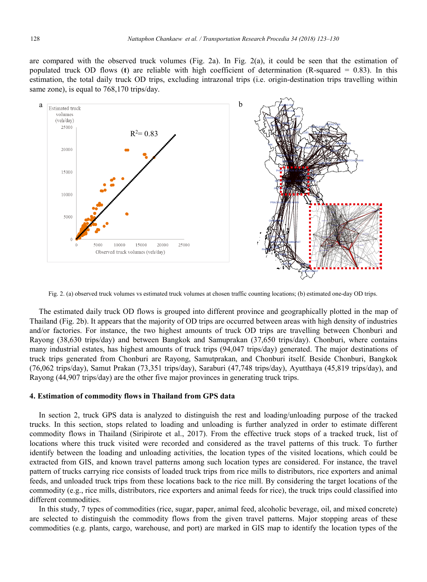are compared with the observed truck volumes (Fig. 2a). In Fig. 2(a), it could be seen that the estimation of populated truck OD flows (**t**) are reliable with high coefficient of determination (R-squared = 0.83). In this estimation, the total daily truck OD trips, excluding intrazonal trips (i.e. origin-destination trips travelling within same zone), is equal to 768,170 trips/day.



Fig. 2. (a) observed truck volumes vs estimated truck volumes at chosen traffic counting locations; (b) estimated one-day OD trips.

The estimated daily truck OD flows is grouped into different province and geographically plotted in the map of Thailand (Fig. 2b). It appears that the majority of OD trips are occurred between areas with high density of industries and/or factories. For instance, the two highest amounts of truck OD trips are travelling between Chonburi and Rayong (38,630 trips/day) and between Bangkok and Samuprakan (37,650 trips/day). Chonburi, where contains many industrial estates, has highest amounts of truck trips (94,047 trips/day) generated. The major destinations of truck trips generated from Chonburi are Rayong, Samutprakan, and Chonburi itself. Beside Chonburi, Bangkok (76,062 trips/day), Samut Prakan (73,351 trips/day), Saraburi (47,748 trips/day), Ayutthaya (45,819 trips/day), and Rayong (44,907 trips/day) are the other five major provinces in generating truck trips.

#### **4. Estimation of commodity flows in Thailand from GPS data**

In section 2, truck GPS data is analyzed to distinguish the rest and loading/unloading purpose of the tracked trucks. In this section, stops related to loading and unloading is further analyzed in order to estimate different commodity flows in Thailand (Siripirote et al., 2017). From the effective truck stops of a tracked truck, list of locations where this truck visited were recorded and considered as the travel patterns of this truck. To further identify between the loading and unloading activities, the location types of the visited locations, which could be extracted from GIS, and known travel patterns among such location types are considered. For instance, the travel pattern of trucks carrying rice consists of loaded truck trips from rice mills to distributors, rice exporters and animal feeds, and unloaded truck trips from these locations back to the rice mill. By considering the target locations of the commodity (e.g., rice mills, distributors, rice exporters and animal feeds for rice), the truck trips could classified into different commodities.

In this study, 7 types of commodities (rice, sugar, paper, animal feed, alcoholic beverage, oil, and mixed concrete) are selected to distinguish the commodity flows from the given travel patterns. Major stopping areas of these commodities (e.g. plants, cargo, warehouse, and port) are marked in GIS map to identify the location types of the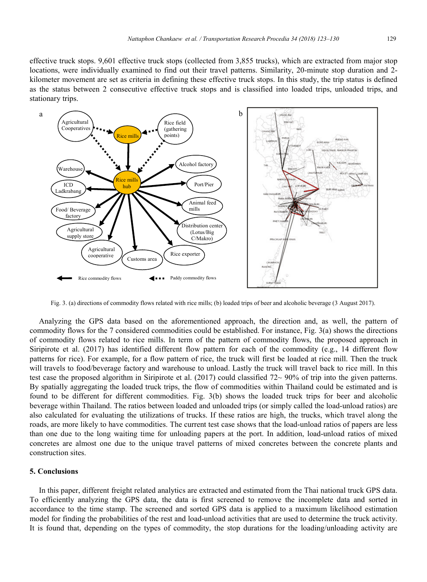effective truck stops. 9,601 effective truck stops (collected from 3,855 trucks), which are extracted from major stop locations, were individually examined to find out their travel patterns. Similarity, 20-minute stop duration and 2 kilometer movement are set as criteria in defining these effective truck stops. In this study, the trip status is defined as the status between 2 consecutive effective truck stops and is classified into loaded trips, unloaded trips, and stationary trips.



Fig. 3. (a) directions of commodity flows related with rice mills; (b) loaded trips of beer and alcoholic beverage (3 August 2017).

Analyzing the GPS data based on the aforementioned approach, the direction and, as well, the pattern of commodity flows for the 7 considered commodities could be established. For instance, Fig. 3(a) shows the directions of commodity flows related to rice mills. In term of the pattern of commodity flows, the proposed approach in Siripirote et al. (2017) has identified different flow pattern for each of the commodity (e.g., 14 different flow patterns for rice). For example, for a flow pattern of rice, the truck will first be loaded at rice mill. Then the truck will travels to food/beverage factory and warehouse to unload. Lastly the truck will travel back to rice mill. In this test case the proposed algorithm in Siripirote et al. (2017) could classified  $72 \sim 90\%$  of trip into the given patterns. By spatially aggregating the loaded truck trips, the flow of commodities within Thailand could be estimated and is found to be different for different commodities. Fig. 3(b) shows the loaded truck trips for beer and alcoholic beverage within Thailand. The ratios between loaded and unloaded trips (or simply called the load-unload ratios) are also calculated for evaluating the utilizations of trucks. If these ratios are high, the trucks, which travel along the roads, are more likely to have commodities. The current test case shows that the load-unload ratios of papers are less than one due to the long waiting time for unloading papers at the port. In addition, load-unload ratios of mixed concretes are almost one due to the unique travel patterns of mixed concretes between the concrete plants and construction sites.

#### **5. Conclusions**

In this paper, different freight related analytics are extracted and estimated from the Thai national truck GPS data. To efficiently analyzing the GPS data, the data is first screened to remove the incomplete data and sorted in accordance to the time stamp. The screened and sorted GPS data is applied to a maximum likelihood estimation model for finding the probabilities of the rest and load-unload activities that are used to determine the truck activity. It is found that, depending on the types of commodity, the stop durations for the loading/unloading activity are